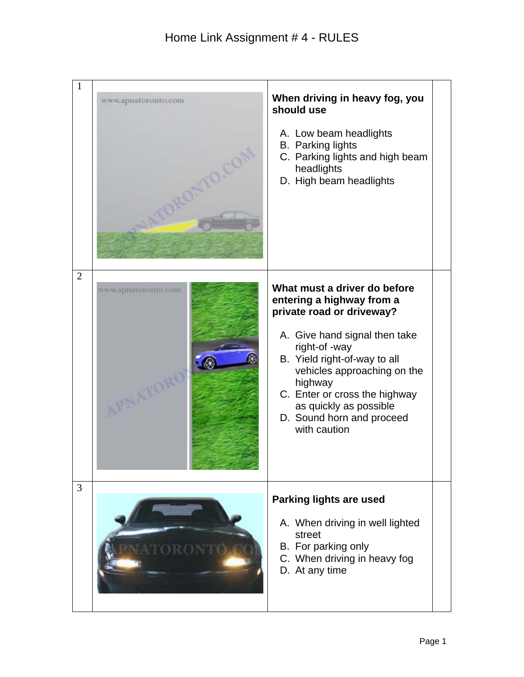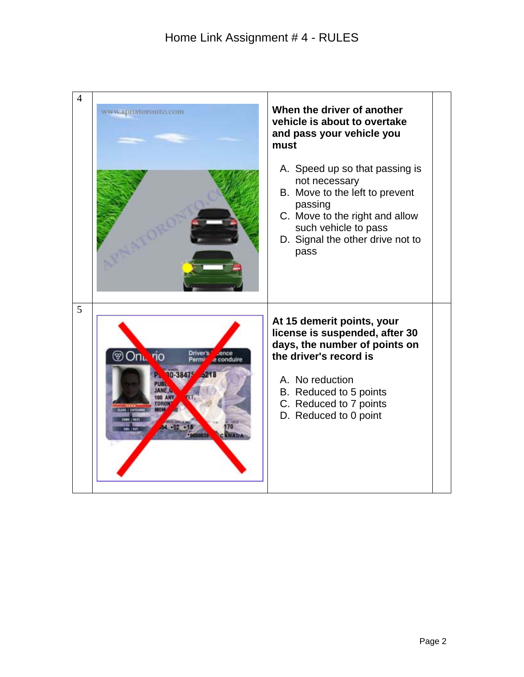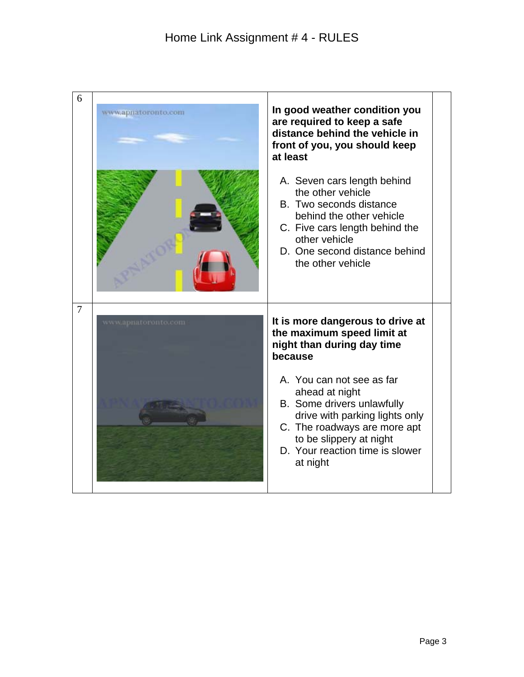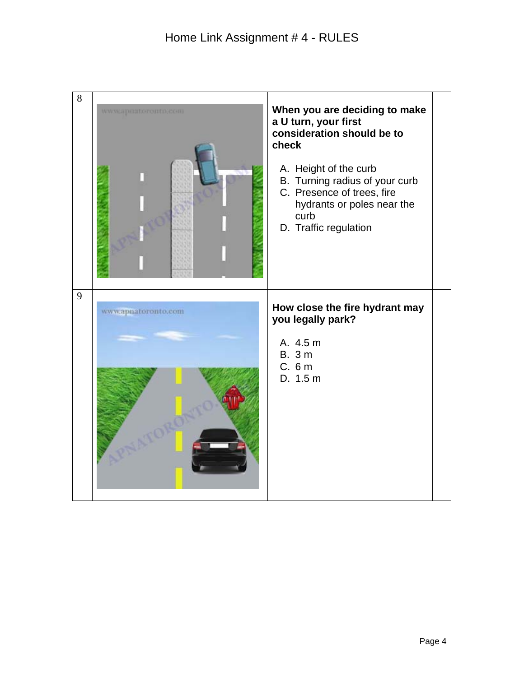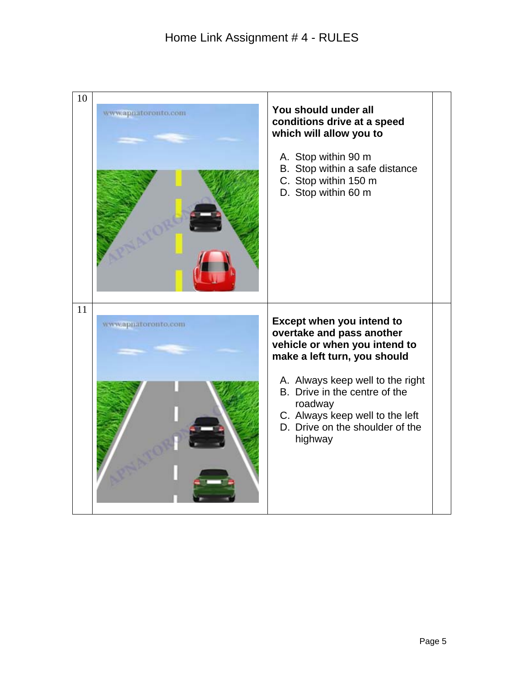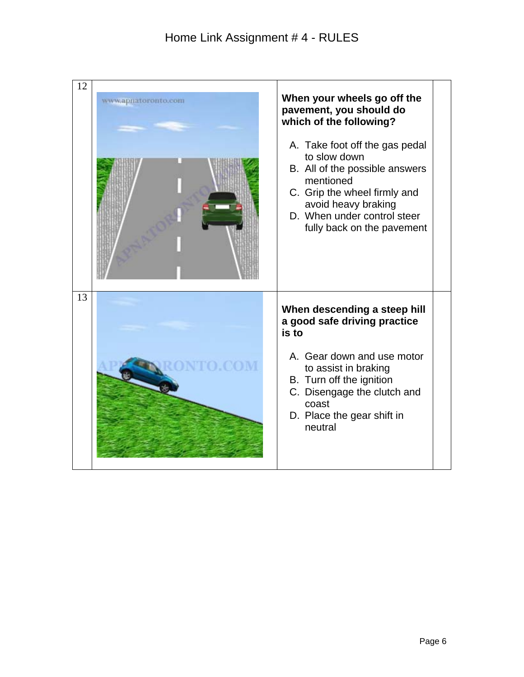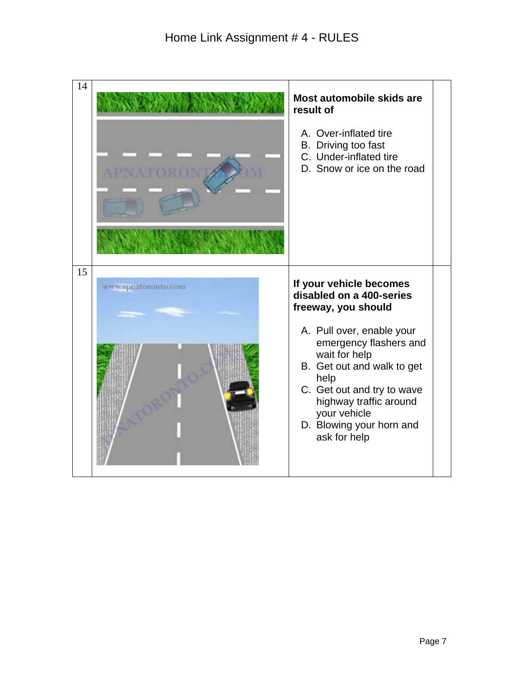| 14 |                     | Most automobile skids are<br>result of<br>A. Over-inflated tire<br>B. Driving too fast<br>C. Under-inflated tire<br>D. Snow or ice on the road                                                                                                                                                               |
|----|---------------------|--------------------------------------------------------------------------------------------------------------------------------------------------------------------------------------------------------------------------------------------------------------------------------------------------------------|
| 15 | www.apnatoronto.com | If your vehicle becomes<br>disabled on a 400-series<br>freeway, you should<br>A. Pull over, enable your<br>emergency flashers and<br>wait for help<br>B. Get out and walk to get<br>help<br>C. Get out and try to wave<br>highway traffic around<br>your vehicle<br>D. Blowing your horn and<br>ask for help |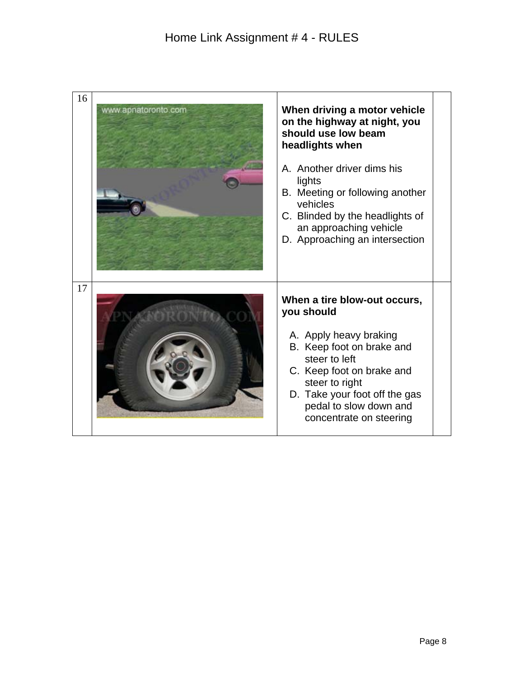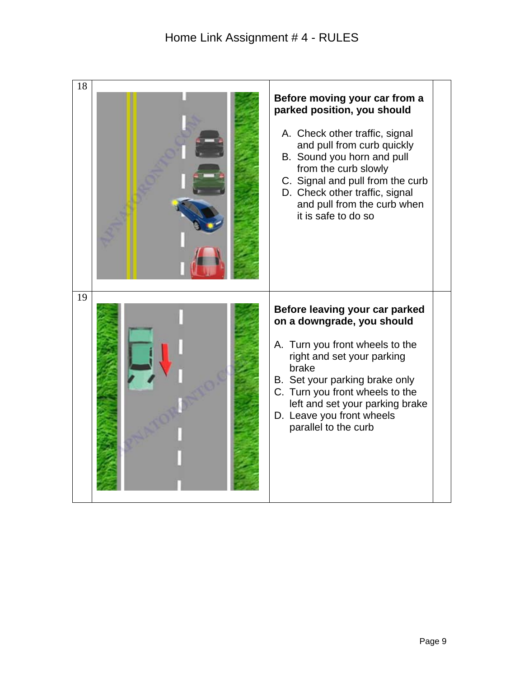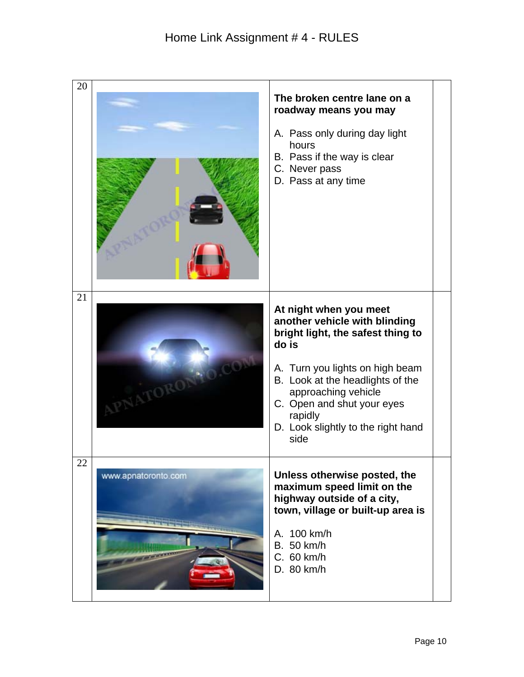| 20 |                     |                                                                                                                                                                                                                                                                                            |
|----|---------------------|--------------------------------------------------------------------------------------------------------------------------------------------------------------------------------------------------------------------------------------------------------------------------------------------|
|    |                     | The broken centre lane on a<br>roadway means you may<br>A. Pass only during day light<br>hours<br>B. Pass if the way is clear<br>C. Never pass<br>D. Pass at any time                                                                                                                      |
| 21 |                     | At night when you meet<br>another vehicle with blinding<br>bright light, the safest thing to<br>do is<br>A. Turn you lights on high beam<br>B. Look at the headlights of the<br>approaching vehicle<br>C. Open and shut your eyes<br>rapidly<br>D. Look slightly to the right hand<br>side |
| 22 | www.apnatoronto.com | Unless otherwise posted, the<br>maximum speed limit on the<br>highway outside of a city,<br>town, village or built-up area is<br>A. 100 km/h<br>B. 50 km/h<br>C. 60 km/h<br>D. 80 km/h                                                                                                     |